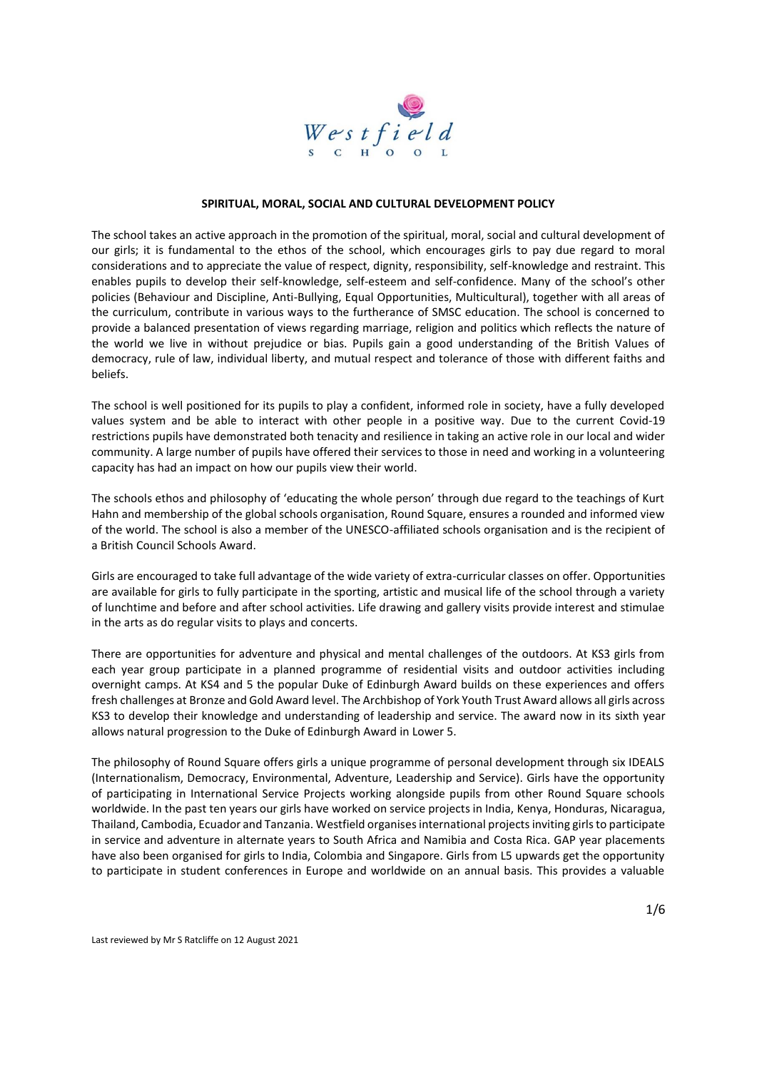

#### **SPIRITUAL, MORAL, SOCIAL AND CULTURAL DEVELOPMENT POLICY**

The school takes an active approach in the promotion of the spiritual, moral, social and cultural development of our girls; it is fundamental to the ethos of the school, which encourages girls to pay due regard to moral considerations and to appreciate the value of respect, dignity, responsibility, self-knowledge and restraint. This enables pupils to develop their self-knowledge, self-esteem and self-confidence. Many of the school's other policies (Behaviour and Discipline, Anti-Bullying, Equal Opportunities, Multicultural), together with all areas of the curriculum, contribute in various ways to the furtherance of SMSC education. The school is concerned to provide a balanced presentation of views regarding marriage, religion and politics which reflects the nature of the world we live in without prejudice or bias. Pupils gain a good understanding of the British Values of democracy, rule of law, individual liberty, and mutual respect and tolerance of those with different faiths and beliefs.

The school is well positioned for its pupils to play a confident, informed role in society, have a fully developed values system and be able to interact with other people in a positive way. Due to the current Covid-19 restrictions pupils have demonstrated both tenacity and resilience in taking an active role in our local and wider community. A large number of pupils have offered their services to those in need and working in a volunteering capacity has had an impact on how our pupils view their world.

The schools ethos and philosophy of 'educating the whole person' through due regard to the teachings of Kurt Hahn and membership of the global schools organisation, Round Square, ensures a rounded and informed view of the world. The school is also a member of the UNESCO-affiliated schools organisation and is the recipient of a British Council Schools Award.

Girls are encouraged to take full advantage of the wide variety of extra-curricular classes on offer. Opportunities are available for girls to fully participate in the sporting, artistic and musical life of the school through a variety of lunchtime and before and after school activities. Life drawing and gallery visits provide interest and stimulae in the arts as do regular visits to plays and concerts.

There are opportunities for adventure and physical and mental challenges of the outdoors. At KS3 girls from each year group participate in a planned programme of residential visits and outdoor activities including overnight camps. At KS4 and 5 the popular Duke of Edinburgh Award builds on these experiences and offers fresh challenges at Bronze and Gold Award level. The Archbishop of York Youth Trust Award allows all girls across KS3 to develop their knowledge and understanding of leadership and service. The award now in its sixth year allows natural progression to the Duke of Edinburgh Award in Lower 5.

The philosophy of Round Square offers girls a unique programme of personal development through six IDEALS (Internationalism, Democracy, Environmental, Adventure, Leadership and Service). Girls have the opportunity of participating in International Service Projects working alongside pupils from other Round Square schools worldwide. In the past ten years our girls have worked on service projects in India, Kenya, Honduras, Nicaragua, Thailand, Cambodia, Ecuador and Tanzania. Westfield organises international projects inviting girls to participate in service and adventure in alternate years to South Africa and Namibia and Costa Rica. GAP year placements have also been organised for girls to India, Colombia and Singapore. Girls from L5 upwards get the opportunity to participate in student conferences in Europe and worldwide on an annual basis. This provides a valuable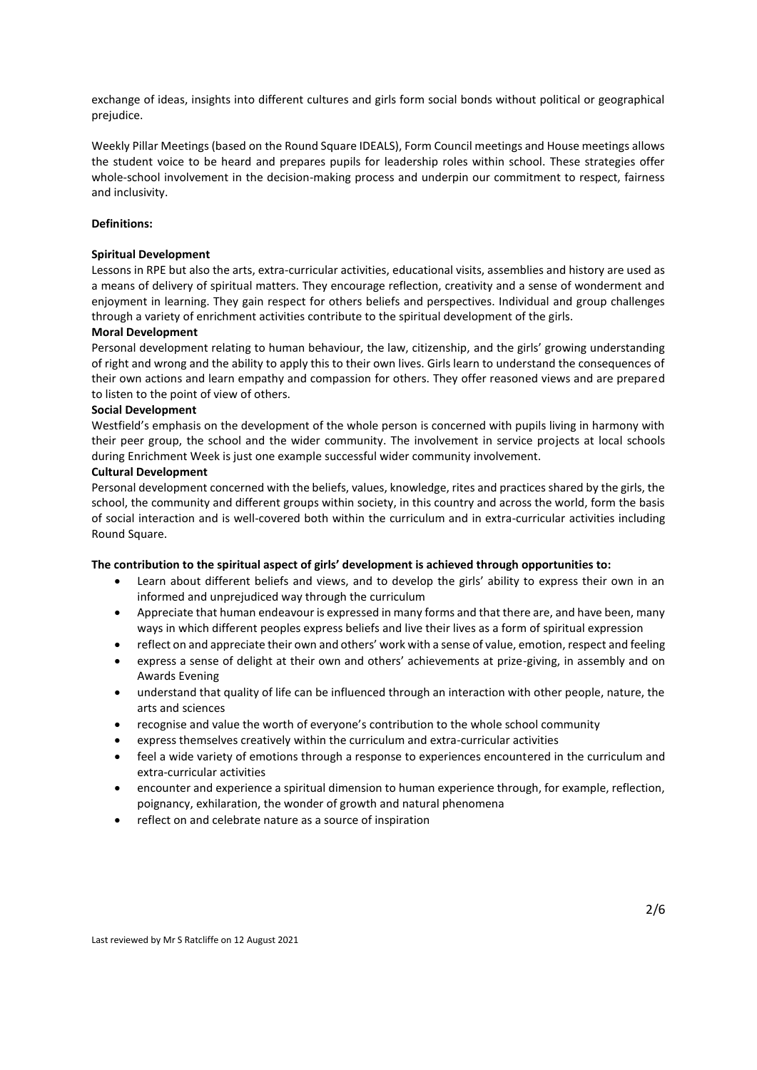exchange of ideas, insights into different cultures and girls form social bonds without political or geographical prejudice.

Weekly Pillar Meetings (based on the Round Square IDEALS), Form Council meetings and House meetings allows the student voice to be heard and prepares pupils for leadership roles within school. These strategies offer whole-school involvement in the decision-making process and underpin our commitment to respect, fairness and inclusivity.

### **Definitions:**

#### **Spiritual Development**

Lessons in RPE but also the arts, extra-curricular activities, educational visits, assemblies and history are used as a means of delivery of spiritual matters. They encourage reflection, creativity and a sense of wonderment and enjoyment in learning. They gain respect for others beliefs and perspectives. Individual and group challenges through a variety of enrichment activities contribute to the spiritual development of the girls.

### **Moral Development**

Personal development relating to human behaviour, the law, citizenship, and the girls' growing understanding of right and wrong and the ability to apply this to their own lives. Girls learn to understand the consequences of their own actions and learn empathy and compassion for others. They offer reasoned views and are prepared to listen to the point of view of others.

#### **Social Development**

Westfield's emphasis on the development of the whole person is concerned with pupils living in harmony with their peer group, the school and the wider community. The involvement in service projects at local schools during Enrichment Week is just one example successful wider community involvement.

### **Cultural Development**

Personal development concerned with the beliefs, values, knowledge, rites and practices shared by the girls, the school, the community and different groups within society, in this country and across the world, form the basis of social interaction and is well-covered both within the curriculum and in extra-curricular activities including Round Square.

### **The contribution to the spiritual aspect of girls' development is achieved through opportunities to:**

- Learn about different beliefs and views, and to develop the girls' ability to express their own in an informed and unprejudiced way through the curriculum
- Appreciate that human endeavour is expressed in many forms and that there are, and have been, many ways in which different peoples express beliefs and live their lives as a form of spiritual expression
- reflect on and appreciate their own and others' work with a sense of value, emotion, respect and feeling
- express a sense of delight at their own and others' achievements at prize-giving, in assembly and on Awards Evening
- understand that quality of life can be influenced through an interaction with other people, nature, the arts and sciences
- recognise and value the worth of everyone's contribution to the whole school community
- express themselves creatively within the curriculum and extra-curricular activities
- feel a wide variety of emotions through a response to experiences encountered in the curriculum and extra-curricular activities
- encounter and experience a spiritual dimension to human experience through, for example, reflection, poignancy, exhilaration, the wonder of growth and natural phenomena
- reflect on and celebrate nature as a source of inspiration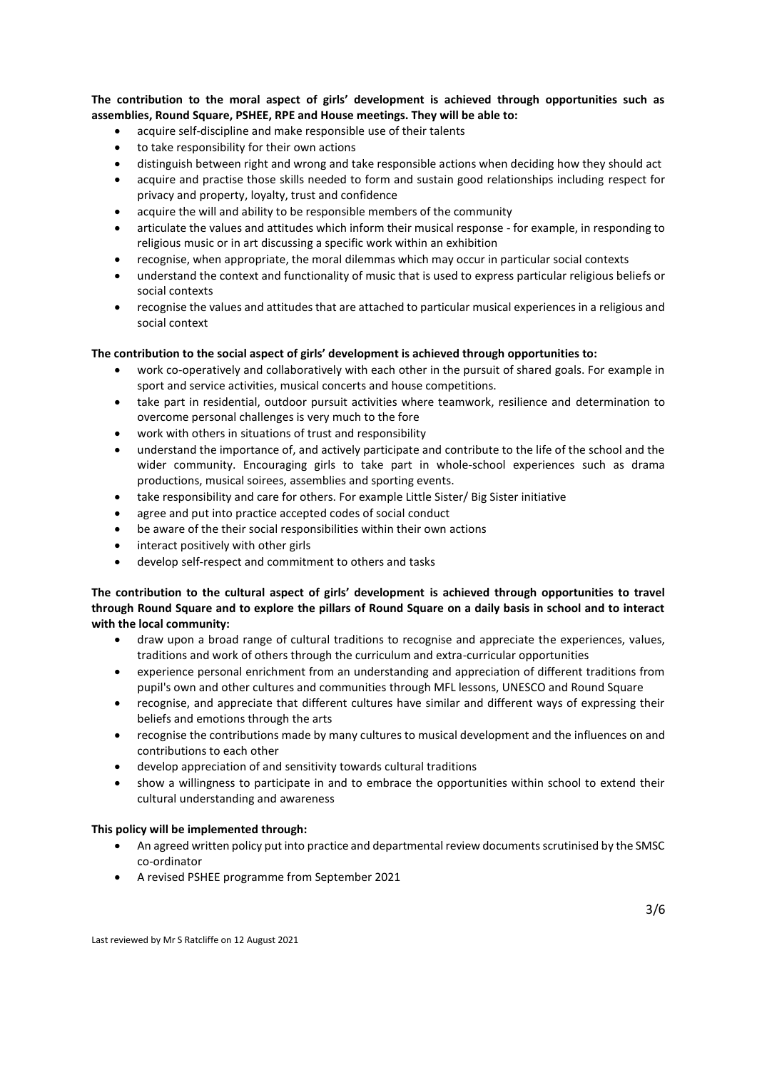**The contribution to the moral aspect of girls' development is achieved through opportunities such as assemblies, Round Square, PSHEE, RPE and House meetings. They will be able to:** 

- acquire self-discipline and make responsible use of their talents
- to take responsibility for their own actions
- distinguish between right and wrong and take responsible actions when deciding how they should act
- acquire and practise those skills needed to form and sustain good relationships including respect for privacy and property, loyalty, trust and confidence
- acquire the will and ability to be responsible members of the community
- articulate the values and attitudes which inform their musical response for example, in responding to religious music or in art discussing a specific work within an exhibition
- recognise, when appropriate, the moral dilemmas which may occur in particular social contexts
- understand the context and functionality of music that is used to express particular religious beliefs or social contexts
- recognise the values and attitudes that are attached to particular musical experiences in a religious and social context

### **The contribution to the social aspect of girls' development is achieved through opportunities to:**

- work co-operatively and collaboratively with each other in the pursuit of shared goals. For example in sport and service activities, musical concerts and house competitions.
- take part in residential, outdoor pursuit activities where teamwork, resilience and determination to overcome personal challenges is very much to the fore
- work with others in situations of trust and responsibility
- understand the importance of, and actively participate and contribute to the life of the school and the wider community. Encouraging girls to take part in whole-school experiences such as drama productions, musical soirees, assemblies and sporting events.
- take responsibility and care for others. For example Little Sister/ Big Sister initiative
- agree and put into practice accepted codes of social conduct
- be aware of the their social responsibilities within their own actions
- interact positively with other girls
- develop self-respect and commitment to others and tasks

# **The contribution to the cultural aspect of girls' development is achieved through opportunities to travel through Round Square and to explore the pillars of Round Square on a daily basis in school and to interact with the local community:**

- draw upon a broad range of cultural traditions to recognise and appreciate the experiences, values, traditions and work of others through the curriculum and extra-curricular opportunities
- experience personal enrichment from an understanding and appreciation of different traditions from pupil's own and other cultures and communities through MFL lessons, UNESCO and Round Square
- recognise, and appreciate that different cultures have similar and different ways of expressing their beliefs and emotions through the arts
- recognise the contributions made by many cultures to musical development and the influences on and contributions to each other
- develop appreciation of and sensitivity towards cultural traditions
- show a willingness to participate in and to embrace the opportunities within school to extend their cultural understanding and awareness

#### **This policy will be implemented through:**

- An agreed written policy put into practice and departmental review documents scrutinised by the SMSC co-ordinator
- A revised PSHEE programme from September 2021

Last reviewed by Mr S Ratcliffe on 12 August 2021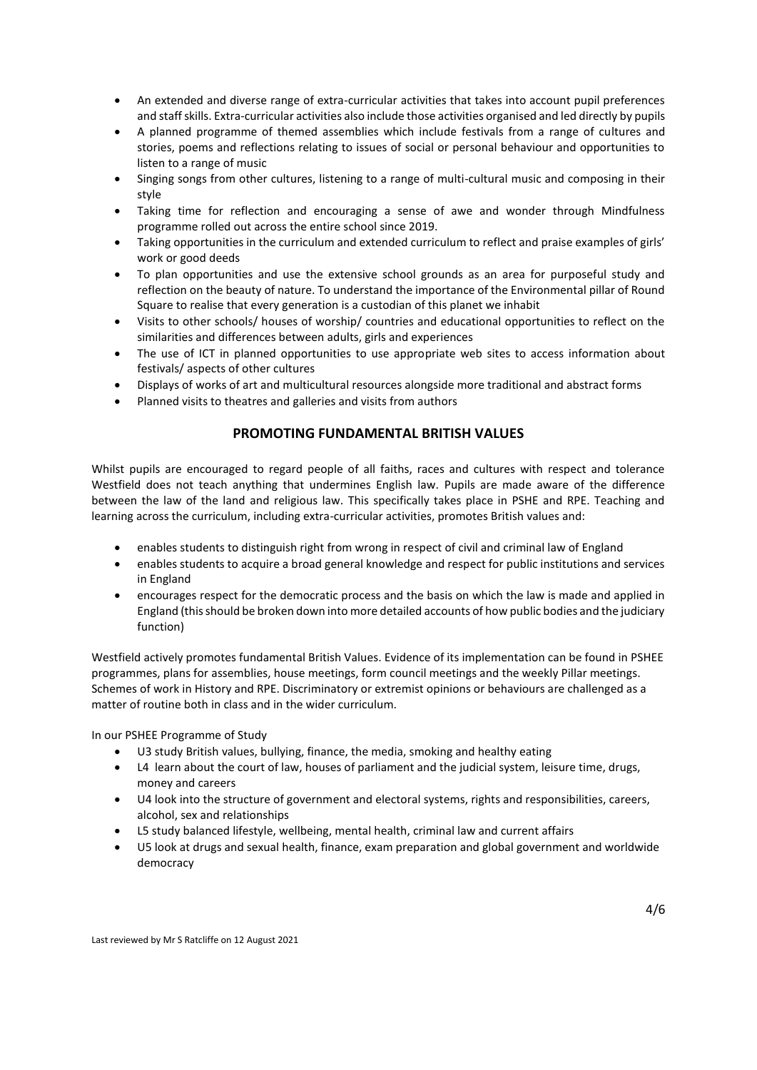- An extended and diverse range of extra-curricular activities that takes into account pupil preferences and staff skills. Extra-curricular activities also include those activities organised and led directly by pupils
- A planned programme of themed assemblies which include festivals from a range of cultures and stories, poems and reflections relating to issues of social or personal behaviour and opportunities to listen to a range of music
- Singing songs from other cultures, listening to a range of multi-cultural music and composing in their style
- Taking time for reflection and encouraging a sense of awe and wonder through Mindfulness programme rolled out across the entire school since 2019.
- Taking opportunities in the curriculum and extended curriculum to reflect and praise examples of girls' work or good deeds
- To plan opportunities and use the extensive school grounds as an area for purposeful study and reflection on the beauty of nature. To understand the importance of the Environmental pillar of Round Square to realise that every generation is a custodian of this planet we inhabit
- Visits to other schools/ houses of worship/ countries and educational opportunities to reflect on the similarities and differences between adults, girls and experiences
- The use of ICT in planned opportunities to use appropriate web sites to access information about festivals/ aspects of other cultures
- Displays of works of art and multicultural resources alongside more traditional and abstract forms
- Planned visits to theatres and galleries and visits from authors

# **PROMOTING FUNDAMENTAL BRITISH VALUES**

Whilst pupils are encouraged to regard people of all faiths, races and cultures with respect and tolerance Westfield does not teach anything that undermines English law. Pupils are made aware of the difference between the law of the land and religious law. This specifically takes place in PSHE and RPE. Teaching and learning across the curriculum, including extra-curricular activities, promotes British values and:

- enables students to distinguish right from wrong in respect of civil and criminal law of England
- enables students to acquire a broad general knowledge and respect for public institutions and services in England
- encourages respect for the democratic process and the basis on which the law is made and applied in England (this should be broken down into more detailed accounts of how public bodies and the judiciary function)

Westfield actively promotes fundamental British Values. Evidence of its implementation can be found in PSHEE programmes, plans for assemblies, house meetings, form council meetings and the weekly Pillar meetings. Schemes of work in History and RPE. Discriminatory or extremist opinions or behaviours are challenged as a matter of routine both in class and in the wider curriculum.

In our PSHEE Programme of Study

- U3 study British values, bullying, finance, the media, smoking and healthy eating
- L4 learn about the court of law, houses of parliament and the judicial system, leisure time, drugs, money and careers
- U4 look into the structure of government and electoral systems, rights and responsibilities, careers, alcohol, sex and relationships
- L5 study balanced lifestyle, wellbeing, mental health, criminal law and current affairs
- U5 look at drugs and sexual health, finance, exam preparation and global government and worldwide democracy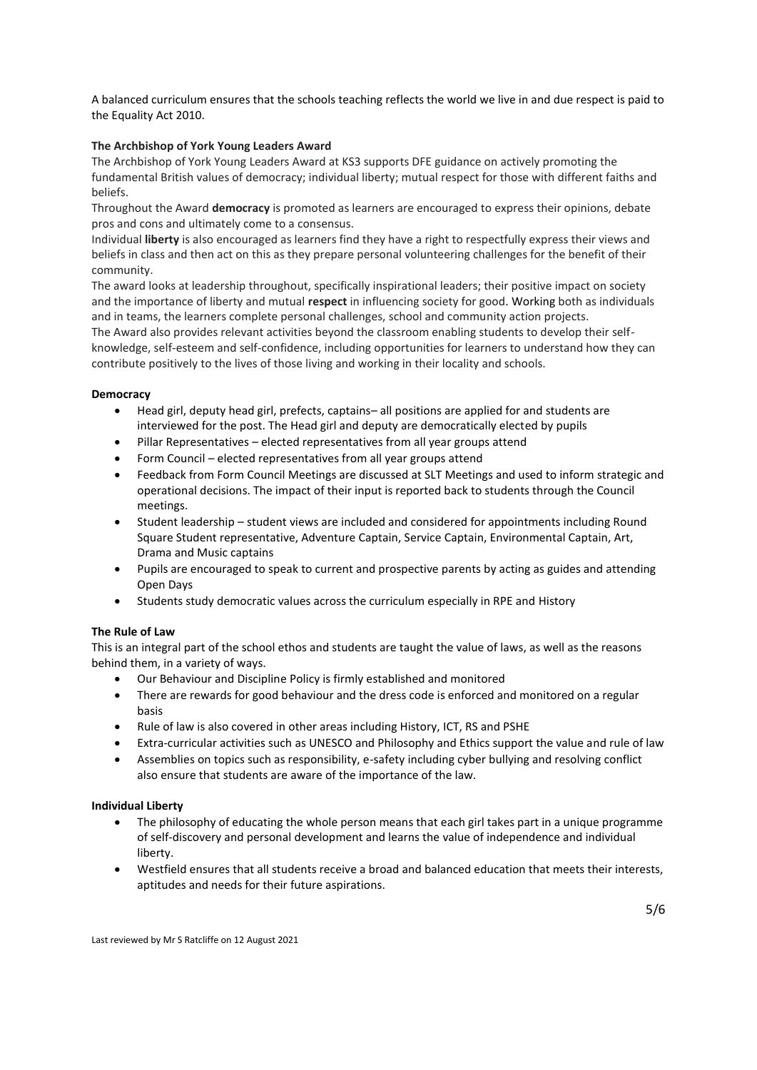A balanced curriculum ensures that the schools teaching reflects the world we live in and due respect is paid to the Equality Act 2010.

## **The Archbishop of York Young Leaders Award**

The Archbishop of York Young Leaders Award at KS3 supports DFE guidance on actively promoting the fundamental British values of democracy; individual liberty; mutual respect for those with different faiths and beliefs.

Throughout the Award **democracy** is promoted as learners are encouraged to express their opinions, debate pros and cons and ultimately come to a consensus.

Individual **liberty** is also encouraged as learners find they have a right to respectfully express their views and beliefs in class and then act on this as they prepare personal volunteering challenges for the benefit of their community.

The award looks at leadership throughout, specifically inspirational leaders; their positive impact on society and the importance of liberty and mutual **respect** in influencing society for good. Working both as individuals and in teams, the learners complete personal challenges, school and community action projects.

The Award also provides relevant activities beyond the classroom enabling students to develop their selfknowledge, self-esteem and self-confidence, including opportunities for learners to understand how they can contribute positively to the lives of those living and working in their locality and schools.

# **Democracy**

- Head girl, deputy head girl, prefects, captains– all positions are applied for and students are interviewed for the post. The Head girl and deputy are democratically elected by pupils
- Pillar Representatives elected representatives from all year groups attend
- Form Council elected representatives from all year groups attend
- Feedback from Form Council Meetings are discussed at SLT Meetings and used to inform strategic and operational decisions. The impact of their input is reported back to students through the Council meetings.
- Student leadership student views are included and considered for appointments including Round Square Student representative, Adventure Captain, Service Captain, Environmental Captain, Art, Drama and Music captains
- Pupils are encouraged to speak to current and prospective parents by acting as guides and attending Open Days
- Students study democratic values across the curriculum especially in RPE and History

# **The Rule of Law**

This is an integral part of the school ethos and students are taught the value of laws, as well as the reasons behind them, in a variety of ways.

- Our Behaviour and Discipline Policy is firmly established and monitored
- There are rewards for good behaviour and the dress code is enforced and monitored on a regular basis
- Rule of law is also covered in other areas including History, ICT, RS and PSHE
- Extra-curricular activities such as UNESCO and Philosophy and Ethics support the value and rule of law
- Assemblies on topics such as responsibility, e-safety including cyber bullying and resolving conflict also ensure that students are aware of the importance of the law.

### **Individual Liberty**

- The philosophy of educating the whole person means that each girl takes part in a unique programme of self-discovery and personal development and learns the value of independence and individual liberty.
- Westfield ensures that all students receive a broad and balanced education that meets their interests, aptitudes and needs for their future aspirations.

Last reviewed by Mr S Ratcliffe on 12 August 2021